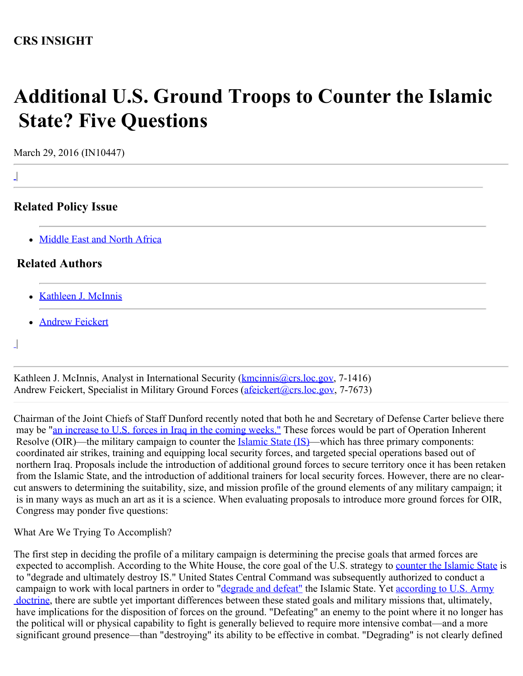# **Additional U.S. Ground Troops to Counter the Islamic State? Five Questions**

March 29, 2016 (IN10447)

|

# **Related Policy Issue**

• [Middle East and North Africa](http://www.crs.gov/Cli/SubIssue?CliId=282&ParentId=29)

## **Related Authors**

- [Kathleen J. McInnis](http://www.crs.gov/Author/index?id=105037)
- **[Andrew Feickert](http://www.crs.gov/Author/index?id=72520)**

|  $\overline{\phantom{a}}$ 

> Kathleen J. McInnis, Analyst in International Security [\(kmcinnis@crs.loc.gov](mailto:kmcinnis@crs.loc.gov), 7-1416) Andrew Feickert, Specialist in Military Ground Forces [\(afeickert@crs.loc.gov](mailto:afeickert@crs.loc.gov), 7-7673)

Chairman of the Joint Chiefs of Staff Dunford recently noted that both he and Secretary of Defense Carter believe there may be "[an increase to U.S. forces in Iraq in the coming weeks."](http://www.defense.gov/News/News-Transcripts/Transcript-View/Article/705469/department-of-defense-press-briefing-by-secretary-carter-and-general-dunford-in) These forces would be part of Operation Inherent Resolve (OIR)—the military campaign to counter the **[Islamic State \(IS\)](http://www.fas.org/sgp/crs/mideast/RL33487.pdf)**—which has three primary components: coordinated air strikes, training and equipping local security forces, and targeted special operations based out of northern Iraq. Proposals include the introduction of additional ground forces to secure territory once it has been retaken from the Islamic State, and the introduction of additional trainers for local security forces. However, there are no clearcut answers to determining the suitability, size, and mission profile of the ground elements of any military campaign; it is in many ways as much an art as it is a science. When evaluating proposals to introduce more ground forces for OIR, Congress may ponder five questions:

What Are We Trying To Accomplish?

The first step in deciding the profile of a military campaign is determining the precise goals that armed forces are expected to accomplish. According to the White House, the core goal of the U.S. strategy to [counter the Islamic State](https://www.whitehouse.gov/the-press-office/2014/09/10/fact-sheet-strategy-counter-islamic-state-iraq-and-levant-isil) is to "degrade and ultimately destroy IS." United States Central Command was subsequently authorized to conduct a campaign to work with local partners in order to ["degrade and defeat"](http://www.defense.gov/News/Special-Reports/0814_Inherent-Resolve) the Islamic State. Yet [according to U.S. Army](http://armypubs.army.mil/doctrine/DR_pubs/dr_a/pdf/adrp1_02.pdf)  [doctrine](http://armypubs.army.mil/doctrine/DR_pubs/dr_a/pdf/adrp1_02.pdf), there are subtle yet important differences between these stated goals and military missions that, ultimately, have implications for the disposition of forces on the ground. "Defeating" an enemy to the point where it no longer has the political will or physical capability to fight is generally believed to require more intensive combat—and a more significant ground presence—than "destroying" its ability to be effective in combat. "Degrading" is not clearly defined